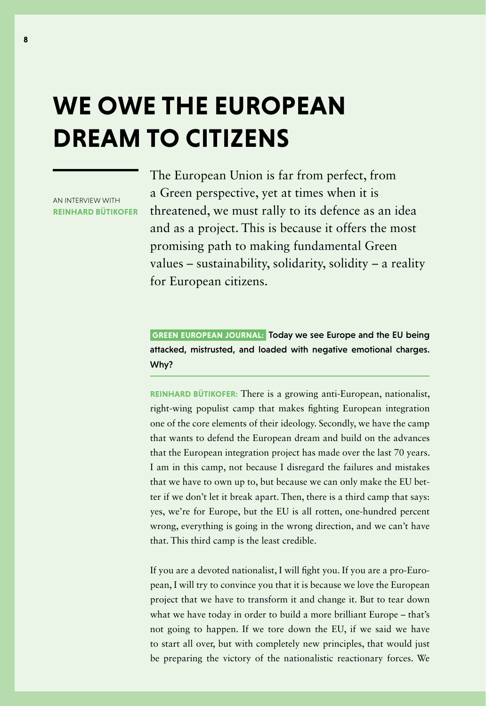# **WE OWE THE EUROPEAN DREAM TO CITIZENS**

AN INTERVIEW WITH **REINHARD BÜTIKOFER** The European Union is far from perfect, from a Green perspective, yet at times when it is threatened, we must rally to its defence as an idea and as a project. This is because it offers the most promising path to making fundamental Green values – sustainability, solidarity, solidity – a reality for European citizens.

 **GREEN EUROPEAN JOURNAL:** Today we see Europe and the EU being attacked, mistrusted, and loaded with negative emotional charges. Why?

**REINHARD BÜTIKOFER:** There is a growing anti-European, nationalist, right-wing populist camp that makes fighting European integration one of the core elements of their ideology. Secondly, we have the camp that wants to defend the European dream and build on the advances that the European integration project has made over the last 70 years. I am in this camp, not because I disregard the failures and mistakes that we have to own up to, but because we can only make the EU better if we don't let it break apart. Then, there is a third camp that says: yes, we're for Europe, but the EU is all rotten, one-hundred percent wrong, everything is going in the wrong direction, and we can't have that. This third camp is the least credible.

If you are a devoted nationalist, I will fight you. If you are a pro-European, I will try to convince you that it is because we love the European project that we have to transform it and change it. But to tear down what we have today in order to build a more brilliant Europe – that's not going to happen. If we tore down the EU, if we said we have to start all over, but with completely new principles, that would just be preparing the victory of the nationalistic reactionary forces. We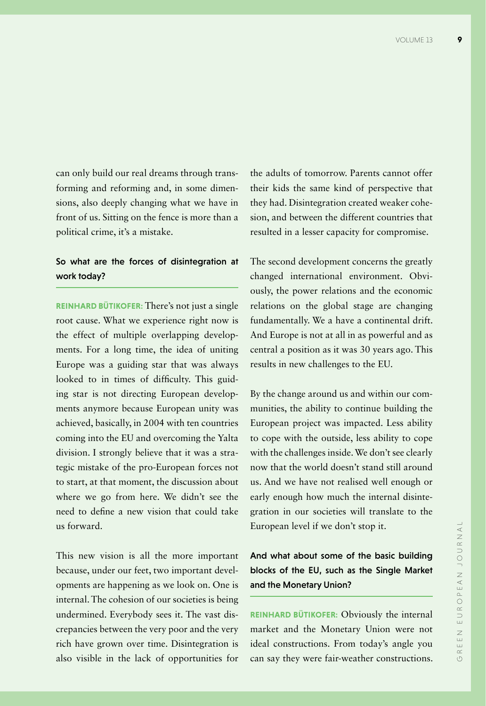can only build our real dreams through transforming and reforming and, in some dimensions, also deeply changing what we have in front of us. Sitting on the fence is more than a political crime, it's a mistake.

#### So what are the forces of disintegration at work today?

**REINHARD BÜTIKOFER:** There's not just a single root cause. What we experience right now is the effect of multiple overlapping developments. For a long time, the idea of uniting Europe was a guiding star that was always looked to in times of difficulty. This guiding star is not directing European developments anymore because European unity was achieved, basically, in 2004 with ten countries coming into the EU and overcoming the Yalta division. I strongly believe that it was a strategic mistake of the pro-European forces not to start, at that moment, the discussion about where we go from here. We didn't see the need to define a new vision that could take us forward.

This new vision is all the more important because, under our feet, two important developments are happening as we look on. One is internal. The cohesion of our societies is being undermined. Everybody sees it. The vast discrepancies between the very poor and the very rich have grown over time. Disintegration is also visible in the lack of opportunities for

the adults of tomorrow. Parents cannot offer their kids the same kind of perspective that they had. Disintegration created weaker cohesion, and between the different countries that resulted in a lesser capacity for compromise.

The second development concerns the greatly changed international environment. Obviously, the power relations and the economic relations on the global stage are changing fundamentally. We a have a continental drift. And Europe is not at all in as powerful and as central a position as it was 30 years ago. This results in new challenges to the EU.

By the change around us and within our communities, the ability to continue building the European project was impacted. Less ability to cope with the outside, less ability to cope with the challenges inside. We don't see clearly now that the world doesn't stand still around us. And we have not realised well enough or early enough how much the internal disintegration in our societies will translate to the European level if we don't stop it.

# And what about some of the basic building blocks of the EU, such as the Single Market and the Monetary Union?

**REINHARD BÜTIKOFER:** Obviously the internal market and the Monetary Union were not ideal constructions. From today's angle you can say they were fair-weather constructions.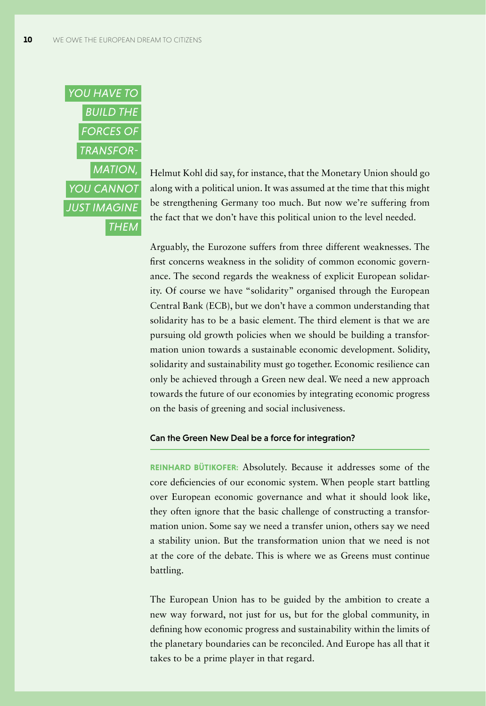

Helmut Kohl did say, for instance, that the Monetary Union should go along with a political union. It was assumed at the time that this might be strengthening Germany too much. But now we're suffering from the fact that we don't have this political union to the level needed.

Arguably, the Eurozone suffers from three different weaknesses. The first concerns weakness in the solidity of common economic governance. The second regards the weakness of explicit European solidarity. Of course we have "solidarity" organised through the European Central Bank (ECB), but we don't have a common understanding that solidarity has to be a basic element. The third element is that we are pursuing old growth policies when we should be building a transformation union towards a sustainable economic development. Solidity, solidarity and sustainability must go together. Economic resilience can only be achieved through a Green new deal. We need a new approach towards the future of our economies by integrating economic progress on the basis of greening and social inclusiveness.

#### Can the Green New Deal be a force for integration?

**REINHARD BÜTIKOFER:** Absolutely. Because it addresses some of the core deficiencies of our economic system. When people start battling over European economic governance and what it should look like, they often ignore that the basic challenge of constructing a transformation union. Some say we need a transfer union, others say we need a stability union. But the transformation union that we need is not at the core of the debate. This is where we as Greens must continue battling.

The European Union has to be guided by the ambition to create a new way forward, not just for us, but for the global community, in defining how economic progress and sustainability within the limits of the planetary boundaries can be reconciled. And Europe has all that it takes to be a prime player in that regard.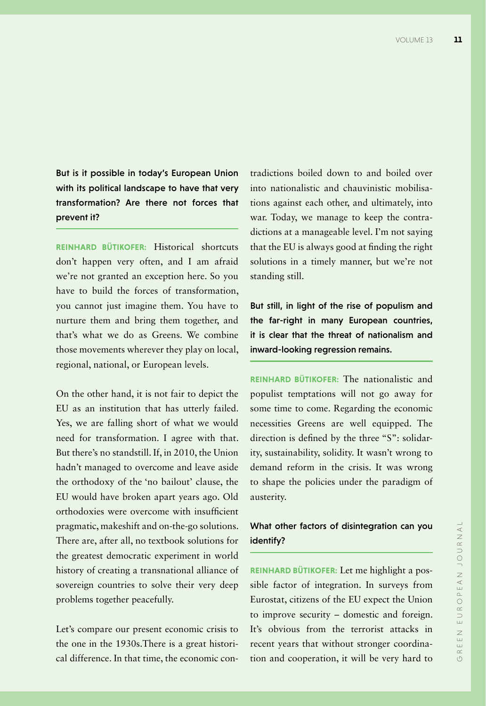But is it possible in today's European Union with its political landscape to have that very transformation? Are there not forces that prevent it?

**REINHARD BÜTIKOFER:** Historical shortcuts don't happen very often, and I am afraid we're not granted an exception here. So you have to build the forces of transformation, you cannot just imagine them. You have to nurture them and bring them together, and that's what we do as Greens. We combine those movements wherever they play on local, regional, national, or European levels.

On the other hand, it is not fair to depict the EU as an institution that has utterly failed. Yes, we are falling short of what we would need for transformation. I agree with that. But there's no standstill. If, in 2010, the Union hadn't managed to overcome and leave aside the orthodoxy of the 'no bailout' clause, the EU would have broken apart years ago. Old orthodoxies were overcome with insufficient pragmatic, makeshift and on-the-go solutions. There are, after all, no textbook solutions for the greatest democratic experiment in world history of creating a transnational alliance of sovereign countries to solve their very deep problems together peacefully.

Let's compare our present economic crisis to the one in the 1930s.There is a great historical difference. In that time, the economic contradictions boiled down to and boiled over into nationalistic and chauvinistic mobilisations against each other, and ultimately, into war. Today, we manage to keep the contradictions at a manageable level. I'm not saying that the EU is always good at finding the right solutions in a timely manner, but we're not standing still.

But still, in light of the rise of populism and the far-right in many European countries, it is clear that the threat of nationalism and inward-looking regression remains.

**REINHARD BÜTIKOFER:** The nationalistic and populist temptations will not go away for some time to come. Regarding the economic necessities Greens are well equipped. The direction is defined by the three "S": solidarity, sustainability, solidity. It wasn't wrong to demand reform in the crisis. It was wrong to shape the policies under the paradigm of austerity.

### What other factors of disintegration can you identify?

**REINHARD BÜTIKOFER:** Let me highlight a possible factor of integration. In surveys from Eurostat, citizens of the EU expect the Union to improve security – domestic and foreign. It's obvious from the terrorist attacks in recent years that without stronger coordination and cooperation, it will be very hard to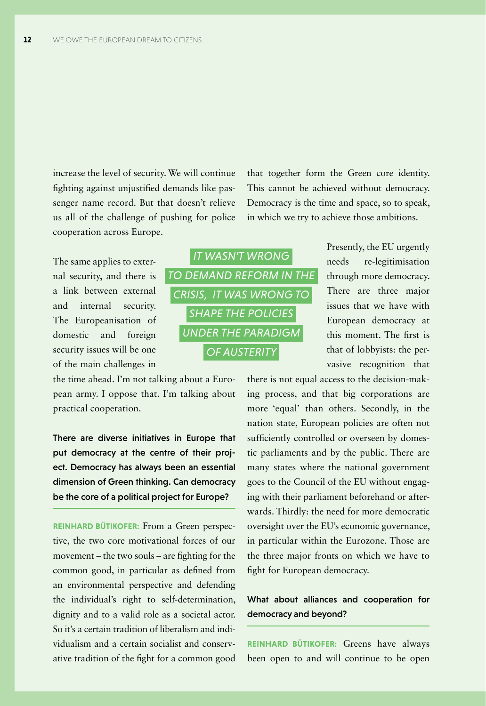increase the level of security. We will continue fighting against unjustified demands like passenger name record. But that doesn't relieve us all of the challenge of pushing for police cooperation across Europe.

that together form the Green core identity. This cannot be achieved without democracy. Democracy is the time and space, so to speak, in which we try to achieve those ambitions.

The same applies to external security, and there is a link between external and internal security. The Europeanisation of domestic and foreign security issues will be one of the main challenges in



There are diverse initiatives in Europe that put democracy at the centre of their project. Democracy has always been an essential dimension of Green thinking. Can democracy be the core of a political project for Europe?

**REINHARD BÜTIKOFER:** From a Green perspective, the two core motivational forces of our movement – the two souls – are fighting for the common good, in particular as defined from an environmental perspective and defending the individual's right to self-determination, dignity and to a valid role as a societal actor. So it's a certain tradition of liberalism and individualism and a certain socialist and conservative tradition of the fight for a common good



Presently, the EU urgently needs re-legitimisation through more democracy. There are three major issues that we have with European democracy at this moment. The first is that of lobbyists: the pervasive recognition that

there is not equal access to the decision-making process, and that big corporations are more 'equal' than others. Secondly, in the nation state, European policies are often not sufficiently controlled or overseen by domestic parliaments and by the public. There are many states where the national government goes to the Council of the EU without engaging with their parliament beforehand or afterwards. Thirdly: the need for more democratic oversight over the EU's economic governance, in particular within the Eurozone. Those are the three major fronts on which we have to fight for European democracy.

## What about alliances and cooperation for democracy and beyond?

**REINHARD BÜTIKOFER:** Greens have always been open to and will continue to be open